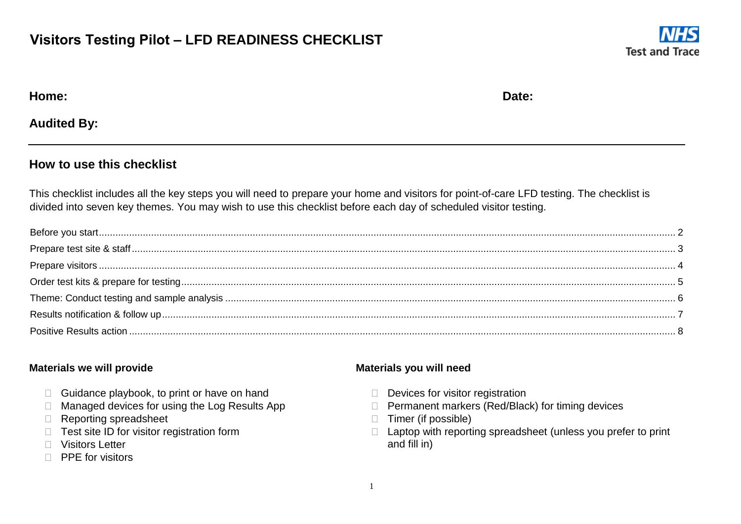### **Visitors Testing Pilot – LFD READINESS CHECKLIST**



| Home: | Date: |
|-------|-------|
|       |       |

**Audited By:** 

#### **How to use this checklist**

This checklist includes all the key steps you will need to prepare your home and visitors for point-of-care LFD testing. The checklist is divided into seven key themes. You may wish to use this checklist before each day of scheduled visitor testing.

#### **Materials we will provide**

- $\Box$  Guidance playbook, to print or have on hand
- $\Box$  Managed devices for using the Log Results App
- Reporting spreadsheet
- $\Box$  Test site ID for visitor registration form
- □ Visitors Letter
- $\Box$  PPE for visitors

#### **Materials you will need**

- $\Box$  Devices for visitor registration
- □ Permanent markers (Red/Black) for timing devices
- □ Timer (if possible)
- $\Box$  Laptop with reporting spreadsheet (unless you prefer to print and fill in)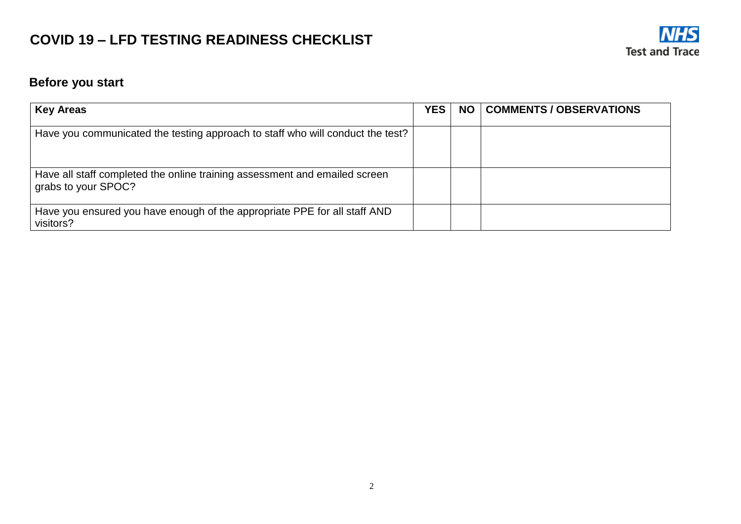

### <span id="page-1-0"></span>**Before you start**

| <b>Key Areas</b>                                                                                  | <b>YES</b> | <b>NO</b> | <b>COMMENTS / OBSERVATIONS</b> |
|---------------------------------------------------------------------------------------------------|------------|-----------|--------------------------------|
| Have you communicated the testing approach to staff who will conduct the test?                    |            |           |                                |
| Have all staff completed the online training assessment and emailed screen<br>grabs to your SPOC? |            |           |                                |
| Have you ensured you have enough of the appropriate PPE for all staff AND<br>visitors?            |            |           |                                |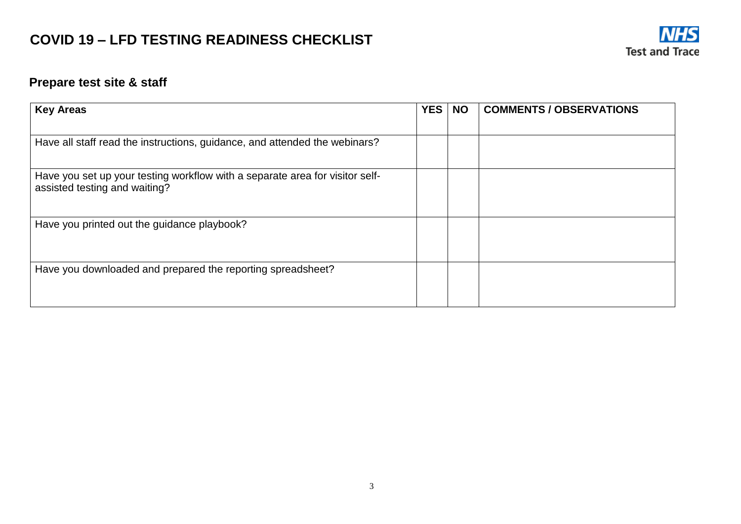

### <span id="page-2-0"></span>**Prepare test site & staff**

| <b>Key Areas</b>                                                                                              | <b>YES</b><br><b>NO</b> |  | <b>COMMENTS / OBSERVATIONS</b> |  |  |
|---------------------------------------------------------------------------------------------------------------|-------------------------|--|--------------------------------|--|--|
| Have all staff read the instructions, guidance, and attended the webinars?                                    |                         |  |                                |  |  |
| Have you set up your testing workflow with a separate area for visitor self-<br>assisted testing and waiting? |                         |  |                                |  |  |
| Have you printed out the guidance playbook?                                                                   |                         |  |                                |  |  |
| Have you downloaded and prepared the reporting spreadsheet?                                                   |                         |  |                                |  |  |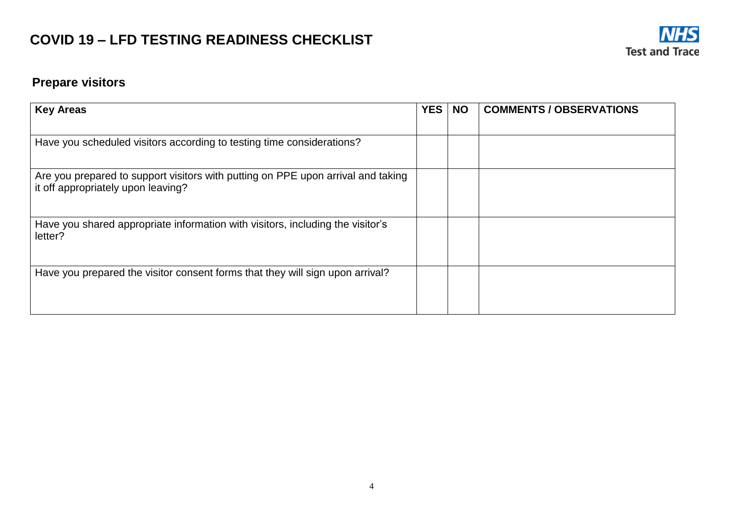

### <span id="page-3-0"></span>**Prepare visitors**

| <b>Key Areas</b>                                                                                                       | <b>YES</b><br><b>NO</b> |  | <b>COMMENTS / OBSERVATIONS</b> |  |  |
|------------------------------------------------------------------------------------------------------------------------|-------------------------|--|--------------------------------|--|--|
|                                                                                                                        |                         |  |                                |  |  |
| Have you scheduled visitors according to testing time considerations?                                                  |                         |  |                                |  |  |
| Are you prepared to support visitors with putting on PPE upon arrival and taking<br>it off appropriately upon leaving? |                         |  |                                |  |  |
| Have you shared appropriate information with visitors, including the visitor's<br>letter?                              |                         |  |                                |  |  |
| Have you prepared the visitor consent forms that they will sign upon arrival?                                          |                         |  |                                |  |  |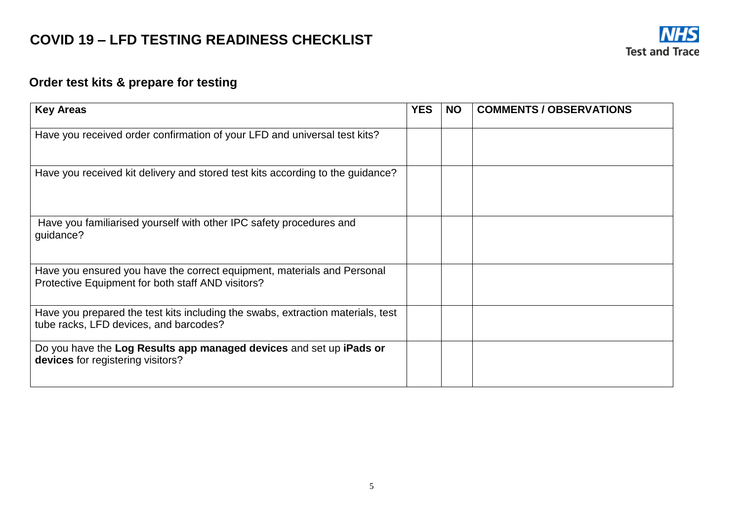

### <span id="page-4-0"></span>**Order test kits & prepare for testing**

| <b>Key Areas</b>                                                                                                             | <b>YES</b> | <b>NO</b> | <b>COMMENTS / OBSERVATIONS</b> |
|------------------------------------------------------------------------------------------------------------------------------|------------|-----------|--------------------------------|
| Have you received order confirmation of your LFD and universal test kits?                                                    |            |           |                                |
| Have you received kit delivery and stored test kits according to the guidance?                                               |            |           |                                |
| Have you familiarised yourself with other IPC safety procedures and<br>guidance?                                             |            |           |                                |
| Have you ensured you have the correct equipment, materials and Personal<br>Protective Equipment for both staff AND visitors? |            |           |                                |
| Have you prepared the test kits including the swabs, extraction materials, test<br>tube racks, LFD devices, and barcodes?    |            |           |                                |
| Do you have the Log Results app managed devices and set up iPads or<br>devices for registering visitors?                     |            |           |                                |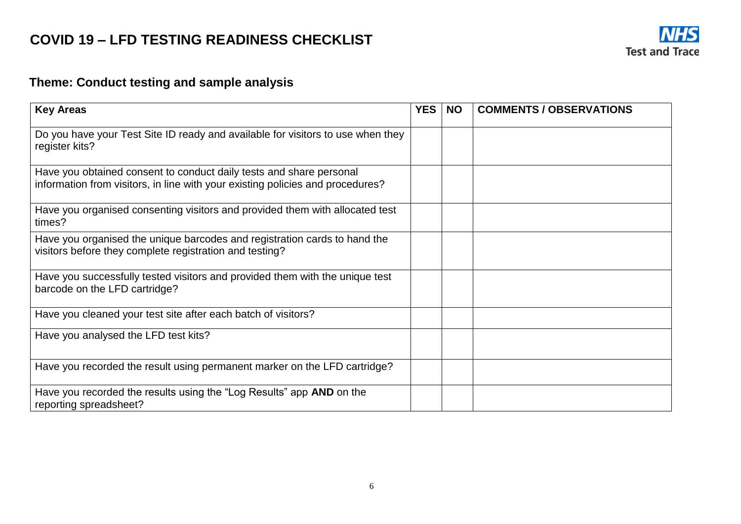

### <span id="page-5-0"></span>**Theme: Conduct testing and sample analysis**

| <b>Key Areas</b>                                                                                                                                      | <b>YES</b> | <b>NO</b> | <b>COMMENTS / OBSERVATIONS</b> |
|-------------------------------------------------------------------------------------------------------------------------------------------------------|------------|-----------|--------------------------------|
| Do you have your Test Site ID ready and available for visitors to use when they<br>register kits?                                                     |            |           |                                |
| Have you obtained consent to conduct daily tests and share personal<br>information from visitors, in line with your existing policies and procedures? |            |           |                                |
| Have you organised consenting visitors and provided them with allocated test<br>times?                                                                |            |           |                                |
| Have you organised the unique barcodes and registration cards to hand the<br>visitors before they complete registration and testing?                  |            |           |                                |
| Have you successfully tested visitors and provided them with the unique test<br>barcode on the LFD cartridge?                                         |            |           |                                |
| Have you cleaned your test site after each batch of visitors?                                                                                         |            |           |                                |
| Have you analysed the LFD test kits?                                                                                                                  |            |           |                                |
| Have you recorded the result using permanent marker on the LFD cartridge?                                                                             |            |           |                                |
| Have you recorded the results using the "Log Results" app AND on the<br>reporting spreadsheet?                                                        |            |           |                                |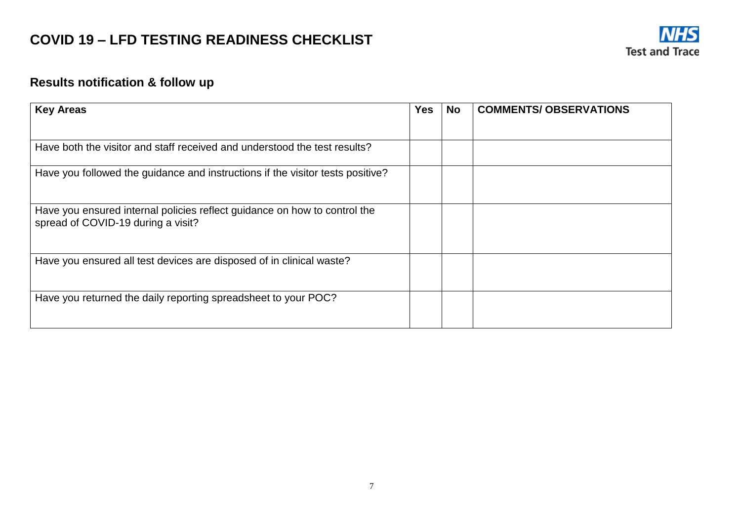

### <span id="page-6-0"></span>**Results notification & follow up**

| <b>Key Areas</b><br><b>Yes</b>                                                                                  |  | <b>No</b> | <b>COMMENTS/ OBSERVATIONS</b> |  |  |
|-----------------------------------------------------------------------------------------------------------------|--|-----------|-------------------------------|--|--|
|                                                                                                                 |  |           |                               |  |  |
| Have both the visitor and staff received and understood the test results?                                       |  |           |                               |  |  |
| Have you followed the guidance and instructions if the visitor tests positive?                                  |  |           |                               |  |  |
| Have you ensured internal policies reflect guidance on how to control the<br>spread of COVID-19 during a visit? |  |           |                               |  |  |
| Have you ensured all test devices are disposed of in clinical waste?                                            |  |           |                               |  |  |
| Have you returned the daily reporting spreadsheet to your POC?                                                  |  |           |                               |  |  |